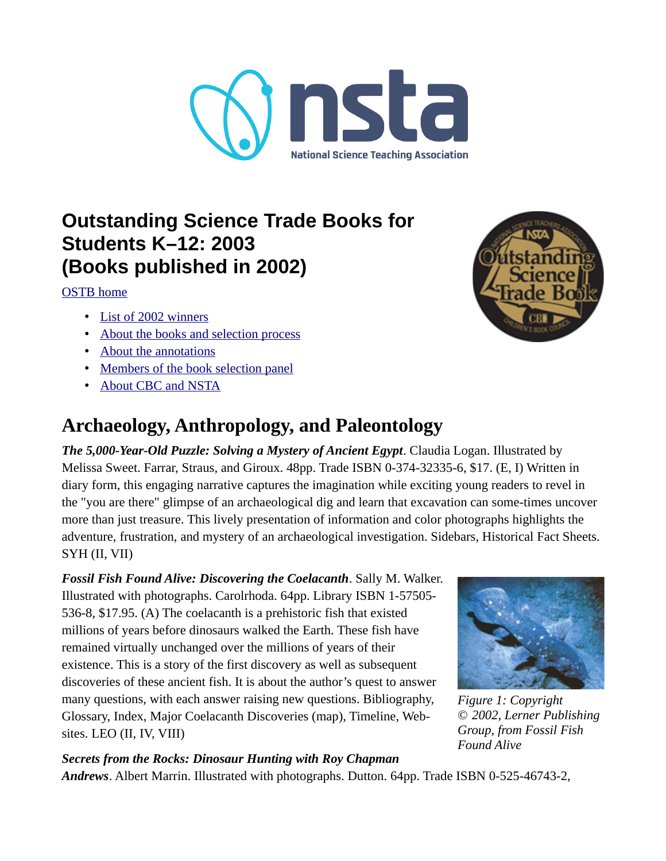

# **Outstanding Science Trade Books for Students K–12: 2003 (Books published in 2002)**

[OSTB home](https://www.nsta.org/outstanding-science-trade-books-students-k-12)

- • [List of 2002 winners](#page-0-0)
- [About the books and selection process](#page-7-0)
- • [About the annotations](#page-8-0)
- [Members of the book selection panel](#page-6-0)
- • [About CBC and NSTA](#page-9-0)

# <span id="page-0-0"></span>**Archaeology, Anthropology, and Paleontology**

*The 5,000-Year-Old Puzzle: Solving a Mystery of Ancient Egypt*. Claudia Logan. Illustrated by Melissa Sweet. Farrar, Straus, and Giroux. 48pp. Trade ISBN 0-374-32335-6, \$17. (E, I) Written in diary form, this engaging narrative captures the imagination while exciting young readers to revel in the "you are there" glimpse of an archaeological dig and learn that excavation can some-times uncover more than just treasure. This lively presentation of information and color photographs highlights the adventure, frustration, and mystery of an archaeological investigation. Sidebars, Historical Fact Sheets. SYH (II, VII)

*Fossil Fish Found Alive: Discovering the Coelacanth*. Sally M. Walker. Illustrated with photographs. Carolrhoda. 64pp. Library ISBN 1-57505- 536-8, \$17.95. (A) The coelacanth is a prehistoric fish that existed millions of years before dinosaurs walked the Earth. These fish have remained virtually unchanged over the millions of years of their existence. This is a story of the first discovery as well as subsequent discoveries of these ancient fish. It is about the author's quest to answer many questions, with each answer raising new questions. Bibliography, Glossary, Index, Major Coelacanth Discoveries (map), Timeline, Websites. LEO (II, IV, VIII)



*Figure 1: Copyright © 2002, Lerner Publishing Group, from Fossil Fish Found Alive*

### *Secrets from the Rocks: Dinosaur Hunting with Roy Chapman*

*Andrews*. Albert Marrin. Illustrated with photographs. Dutton. 64pp. Trade ISBN 0-525-46743-2,

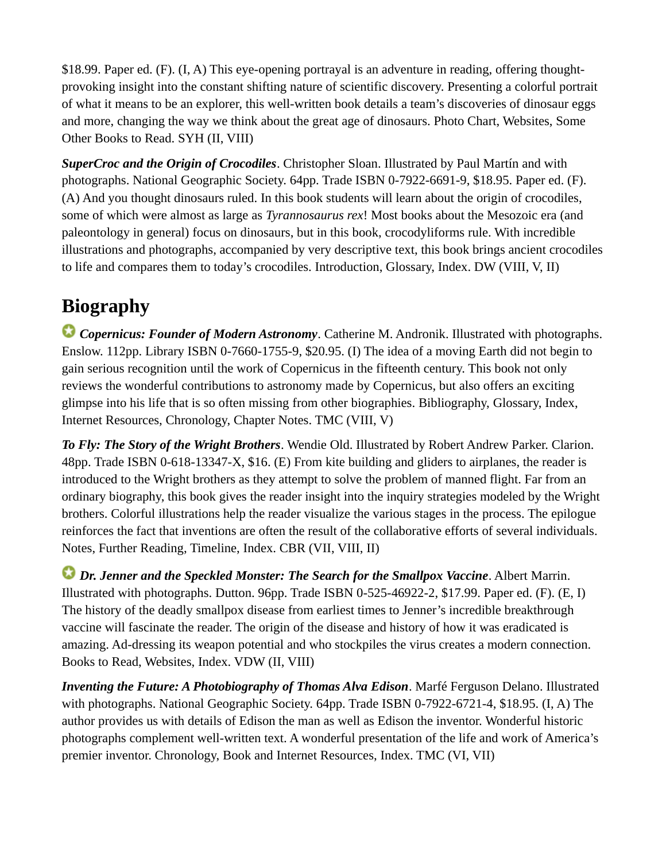\$18.99. Paper ed. (F). (I, A) This eye-opening portrayal is an adventure in reading, offering thoughtprovoking insight into the constant shifting nature of scientific discovery. Presenting a colorful portrait of what it means to be an explorer, this well-written book details a team's discoveries of dinosaur eggs and more, changing the way we think about the great age of dinosaurs. Photo Chart, Websites, Some Other Books to Read. SYH (II, VIII)

*SuperCroc and the Origin of Crocodiles*. Christopher Sloan. Illustrated by Paul Martín and with photographs. National Geographic Society. 64pp. Trade ISBN 0-7922-6691-9, \$18.95. Paper ed. (F). (A) And you thought dinosaurs ruled. In this book students will learn about the origin of crocodiles, some of which were almost as large as *Tyrannosaurus rex*! Most books about the Mesozoic era (and paleontology in general) focus on dinosaurs, but in this book, crocodyliforms rule. With incredible illustrations and photographs, accompanied by very descriptive text, this book brings ancient crocodiles to life and compares them to today's crocodiles. Introduction, Glossary, Index. DW (VIII, V, II)

# **Biography**

*Copernicus: Founder of Modern Astronomy*. Catherine M. Andronik. Illustrated with photographs. Enslow. 112pp. Library ISBN 0-7660-1755-9, \$20.95. (I) The idea of a moving Earth did not begin to gain serious recognition until the work of Copernicus in the fifteenth century. This book not only reviews the wonderful contributions to astronomy made by Copernicus, but also offers an exciting glimpse into his life that is so often missing from other biographies. Bibliography, Glossary, Index, Internet Resources, Chronology, Chapter Notes. TMC (VIII, V)

*To Fly: The Story of the Wright Brothers*. Wendie Old. Illustrated by Robert Andrew Parker. Clarion. 48pp. Trade ISBN 0-618-13347-X, \$16. (E) From kite building and gliders to airplanes, the reader is introduced to the Wright brothers as they attempt to solve the problem of manned flight. Far from an ordinary biography, this book gives the reader insight into the inquiry strategies modeled by the Wright brothers. Colorful illustrations help the reader visualize the various stages in the process. The epilogue reinforces the fact that inventions are often the result of the collaborative efforts of several individuals. Notes, Further Reading, Timeline, Index. CBR (VII, VIII, II)

*Dr. Jenner and the Speckled Monster: The Search for the Smallpox Vaccine*. Albert Marrin. Illustrated with photographs. Dutton. 96pp. Trade ISBN 0-525-46922-2, \$17.99. Paper ed. (F). (E, I) The history of the deadly smallpox disease from earliest times to Jenner's incredible breakthrough vaccine will fascinate the reader. The origin of the disease and history of how it was eradicated is amazing. Ad-dressing its weapon potential and who stockpiles the virus creates a modern connection. Books to Read, Websites, Index. VDW (II, VIII)

*Inventing the Future: A Photobiography of Thomas Alva Edison*. Marfé Ferguson Delano. Illustrated with photographs. National Geographic Society. 64pp. Trade ISBN 0-7922-6721-4, \$18.95. (I, A) The author provides us with details of Edison the man as well as Edison the inventor. Wonderful historic photographs complement well-written text. A wonderful presentation of the life and work of America's premier inventor. Chronology, Book and Internet Resources, Index. TMC (VI, VII)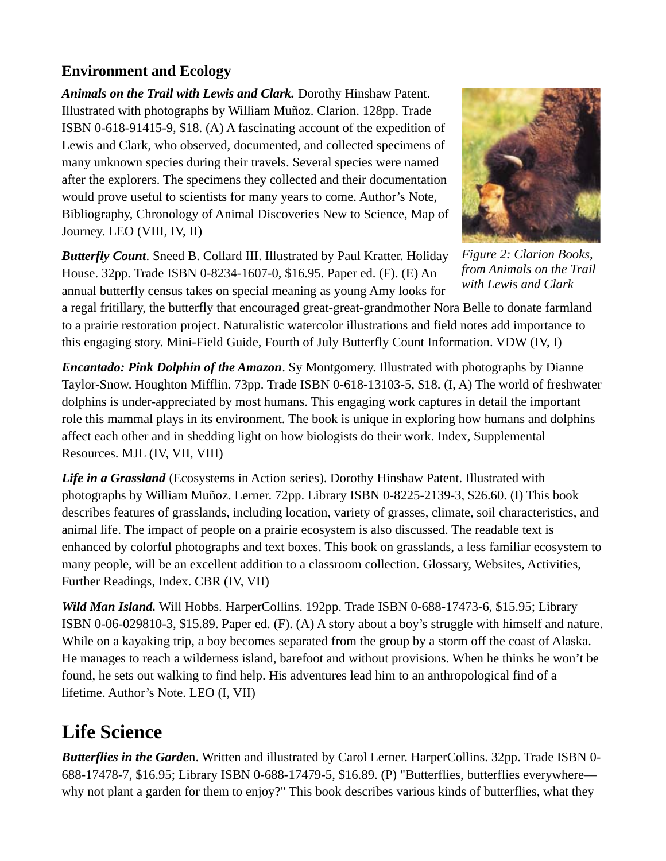## **Environment and Ecology**

*Animals on the Trail with Lewis and Clark.* Dorothy Hinshaw Patent. Illustrated with photographs by William Muñoz. Clarion. 128pp. Trade ISBN 0-618-91415-9, \$18. (A) A fascinating account of the expedition of Lewis and Clark, who observed, documented, and collected specimens of many unknown species during their travels. Several species were named after the explorers. The specimens they collected and their documentation would prove useful to scientists for many years to come. Author's Note, Bibliography, Chronology of Animal Discoveries New to Science, Map of Journey. LEO (VIII, IV, II)

*Butterfly Count*. Sneed B. Collard III. Illustrated by Paul Kratter. Holiday House. 32pp. Trade ISBN 0-8234-1607-0, \$16.95. Paper ed. (F). (E) An annual butterfly census takes on special meaning as young Amy looks for



*Figure 2: Clarion Books, from Animals on the Trail with Lewis and Clark*

a regal fritillary, the butterfly that encouraged great-great-grandmother Nora Belle to donate farmland to a prairie restoration project. Naturalistic watercolor illustrations and field notes add importance to this engaging story. Mini-Field Guide, Fourth of July Butterfly Count Information. VDW (IV, I)

*Encantado: Pink Dolphin of the Amazon*. Sy Montgomery. Illustrated with photographs by Dianne Taylor-Snow. Houghton Mifflin. 73pp. Trade ISBN 0-618-13103-5, \$18. (I, A) The world of freshwater dolphins is under-appreciated by most humans. This engaging work captures in detail the important role this mammal plays in its environment. The book is unique in exploring how humans and dolphins affect each other and in shedding light on how biologists do their work. Index, Supplemental Resources. MJL (IV, VII, VIII)

*Life in a Grassland* (Ecosystems in Action series). Dorothy Hinshaw Patent. Illustrated with photographs by William Muñoz. Lerner. 72pp. Library ISBN 0-8225-2139-3, \$26.60. (I) This book describes features of grasslands, including location, variety of grasses, climate, soil characteristics, and animal life. The impact of people on a prairie ecosystem is also discussed. The readable text is enhanced by colorful photographs and text boxes. This book on grasslands, a less familiar ecosystem to many people, will be an excellent addition to a classroom collection. Glossary, Websites, Activities, Further Readings, Index. CBR (IV, VII)

*Wild Man Island.* Will Hobbs. HarperCollins. 192pp. Trade ISBN 0-688-17473-6, \$15.95; Library ISBN 0-06-029810-3, \$15.89. Paper ed. (F). (A) A story about a boy's struggle with himself and nature. While on a kayaking trip, a boy becomes separated from the group by a storm off the coast of Alaska. He manages to reach a wilderness island, barefoot and without provisions. When he thinks he won't be found, he sets out walking to find help. His adventures lead him to an anthropological find of a lifetime. Author's Note. LEO (I, VII)

# **Life Science**

*Butterflies in the Garde*n. Written and illustrated by Carol Lerner. HarperCollins. 32pp. Trade ISBN 0- 688-17478-7, \$16.95; Library ISBN 0-688-17479-5, \$16.89. (P) "Butterflies, butterflies everywhere why not plant a garden for them to enjoy?" This book describes various kinds of butterflies, what they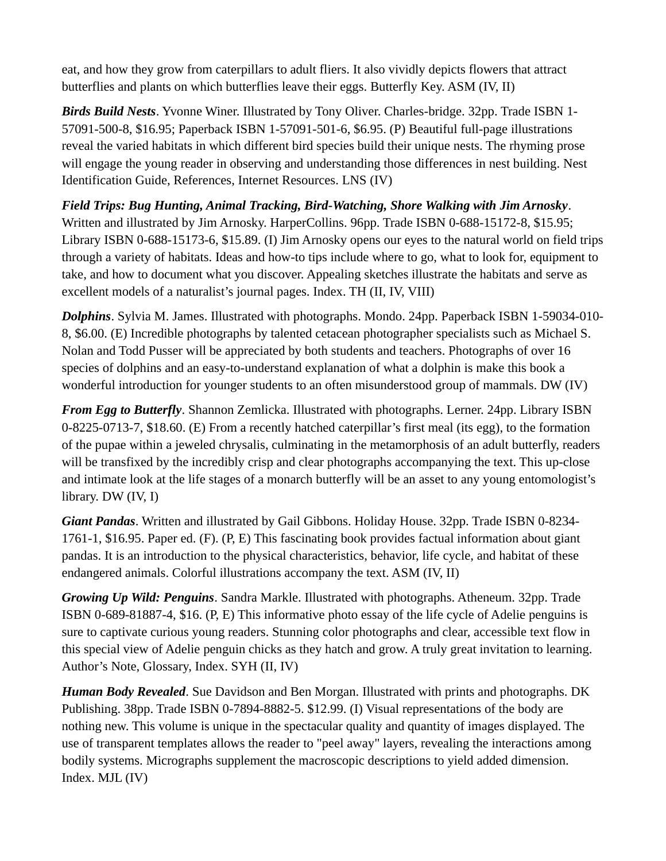eat, and how they grow from caterpillars to adult fliers. It also vividly depicts flowers that attract butterflies and plants on which butterflies leave their eggs. Butterfly Key. ASM (IV, II)

*Birds Build Nests*. Yvonne Winer. Illustrated by Tony Oliver. Charles-bridge. 32pp. Trade ISBN 1- 57091-500-8, \$16.95; Paperback ISBN 1-57091-501-6, \$6.95. (P) Beautiful full-page illustrations reveal the varied habitats in which different bird species build their unique nests. The rhyming prose will engage the young reader in observing and understanding those differences in nest building. Nest Identification Guide, References, Internet Resources. LNS (IV)

## *Field Trips: Bug Hunting, Animal Tracking, Bird-Watching, Shore Walking with Jim Arnosky*.

Written and illustrated by Jim Arnosky. HarperCollins. 96pp. Trade ISBN 0-688-15172-8, \$15.95; Library ISBN 0-688-15173-6, \$15.89. (I) Jim Arnosky opens our eyes to the natural world on field trips through a variety of habitats. Ideas and how-to tips include where to go, what to look for, equipment to take, and how to document what you discover. Appealing sketches illustrate the habitats and serve as excellent models of a naturalist's journal pages. Index. TH (II, IV, VIII)

*Dolphins*. Sylvia M. James. Illustrated with photographs. Mondo. 24pp. Paperback ISBN 1-59034-010- 8, \$6.00. (E) Incredible photographs by talented cetacean photographer specialists such as Michael S. Nolan and Todd Pusser will be appreciated by both students and teachers. Photographs of over 16 species of dolphins and an easy-to-understand explanation of what a dolphin is make this book a wonderful introduction for younger students to an often misunderstood group of mammals. DW (IV)

*From Egg to Butterfly*. Shannon Zemlicka. Illustrated with photographs. Lerner. 24pp. Library ISBN 0-8225-0713-7, \$18.60. (E) From a recently hatched caterpillar's first meal (its egg), to the formation of the pupae within a jeweled chrysalis, culminating in the metamorphosis of an adult butterfly, readers will be transfixed by the incredibly crisp and clear photographs accompanying the text. This up-close and intimate look at the life stages of a monarch butterfly will be an asset to any young entomologist's library. DW (IV, I)

*Giant Pandas*. Written and illustrated by Gail Gibbons. Holiday House. 32pp. Trade ISBN 0-8234- 1761-1, \$16.95. Paper ed. (F). (P, E) This fascinating book provides factual information about giant pandas. It is an introduction to the physical characteristics, behavior, life cycle, and habitat of these endangered animals. Colorful illustrations accompany the text. ASM (IV, II)

*Growing Up Wild: Penguins*. Sandra Markle. Illustrated with photographs. Atheneum. 32pp. Trade ISBN 0-689-81887-4, \$16. (P, E) This informative photo essay of the life cycle of Adelie penguins is sure to captivate curious young readers. Stunning color photographs and clear, accessible text flow in this special view of Adelie penguin chicks as they hatch and grow. A truly great invitation to learning. Author's Note, Glossary, Index. SYH (II, IV)

*Human Body Revealed*. Sue Davidson and Ben Morgan. Illustrated with prints and photographs. DK Publishing. 38pp. Trade ISBN 0-7894-8882-5. \$12.99. (I) Visual representations of the body are nothing new. This volume is unique in the spectacular quality and quantity of images displayed. The use of transparent templates allows the reader to "peel away" layers, revealing the interactions among bodily systems. Micrographs supplement the macroscopic descriptions to yield added dimension. Index. MJL (IV)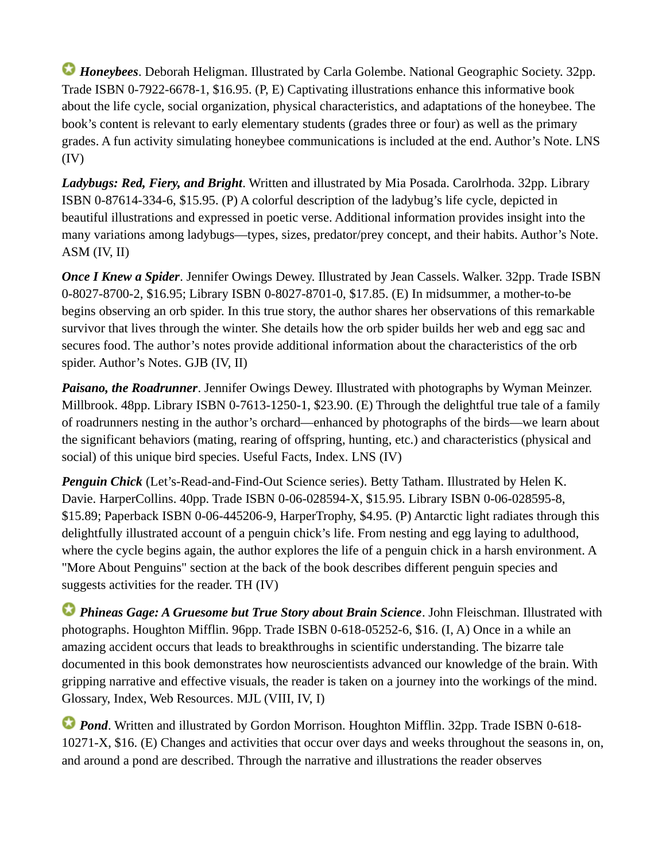*Honeybees*. Deborah Heligman. Illustrated by Carla Golembe. National Geographic Society. 32pp. Trade ISBN 0-7922-6678-1, \$16.95. (P, E) Captivating illustrations enhance this informative book about the life cycle, social organization, physical characteristics, and adaptations of the honeybee. The book's content is relevant to early elementary students (grades three or four) as well as the primary grades. A fun activity simulating honeybee communications is included at the end. Author's Note. LNS (IV)

*Ladybugs: Red, Fiery, and Bright*. Written and illustrated by Mia Posada. Carolrhoda. 32pp. Library ISBN 0-87614-334-6, \$15.95. (P) A colorful description of the ladybug's life cycle, depicted in beautiful illustrations and expressed in poetic verse. Additional information provides insight into the many variations among ladybugs—types, sizes, predator/prey concept, and their habits. Author's Note. ASM (IV, II)

*Once I Knew a Spider*. Jennifer Owings Dewey. Illustrated by Jean Cassels. Walker. 32pp. Trade ISBN 0-8027-8700-2, \$16.95; Library ISBN 0-8027-8701-0, \$17.85. (E) In midsummer, a mother-to-be begins observing an orb spider. In this true story, the author shares her observations of this remarkable survivor that lives through the winter. She details how the orb spider builds her web and egg sac and secures food. The author's notes provide additional information about the characteristics of the orb spider. Author's Notes. GJB (IV, II)

*Paisano, the Roadrunner*. Jennifer Owings Dewey. Illustrated with photographs by Wyman Meinzer. Millbrook. 48pp. Library ISBN 0-7613-1250-1, \$23.90. (E) Through the delightful true tale of a family of roadrunners nesting in the author's orchard—enhanced by photographs of the birds—we learn about the significant behaviors (mating, rearing of offspring, hunting, etc.) and characteristics (physical and social) of this unique bird species. Useful Facts, Index. LNS (IV)

**Penguin Chick** (Let's-Read-and-Find-Out Science series). Betty Tatham. Illustrated by Helen K. Davie. HarperCollins. 40pp. Trade ISBN 0-06-028594-X, \$15.95. Library ISBN 0-06-028595-8, \$15.89; Paperback ISBN 0-06-445206-9, HarperTrophy, \$4.95. (P) Antarctic light radiates through this delightfully illustrated account of a penguin chick's life. From nesting and egg laying to adulthood, where the cycle begins again, the author explores the life of a penguin chick in a harsh environment. A "More About Penguins" section at the back of the book describes different penguin species and suggests activities for the reader. TH (IV)

*Phineas Gage: A Gruesome but True Story about Brain Science*. John Fleischman. Illustrated with photographs. Houghton Mifflin. 96pp. Trade ISBN 0-618-05252-6, \$16. (I, A) Once in a while an amazing accident occurs that leads to breakthroughs in scientific understanding. The bizarre tale documented in this book demonstrates how neuroscientists advanced our knowledge of the brain. With gripping narrative and effective visuals, the reader is taken on a journey into the workings of the mind. Glossary, Index, Web Resources. MJL (VIII, IV, I)

**Pond.** Written and illustrated by Gordon Morrison. Houghton Mifflin. 32pp. Trade ISBN 0-618-10271-X, \$16. (E) Changes and activities that occur over days and weeks throughout the seasons in, on, and around a pond are described. Through the narrative and illustrations the reader observes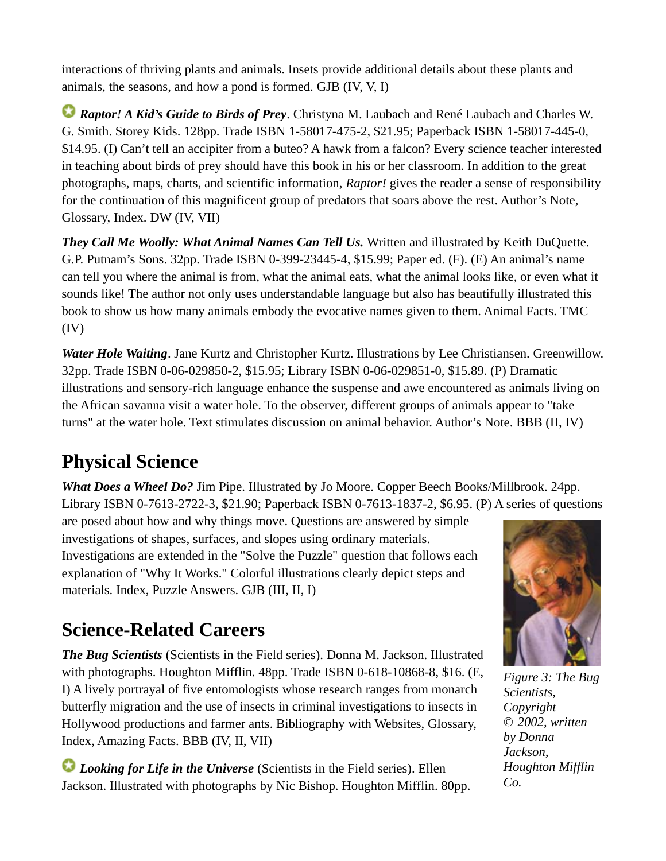interactions of thriving plants and animals. Insets provide additional details about these plants and animals, the seasons, and how a pond is formed. GJB (IV, V, I)

*Raptor! A Kid's Guide to Birds of Prey*. Christyna M. Laubach and René Laubach and Charles W. G. Smith. Storey Kids. 128pp. Trade ISBN 1-58017-475-2, \$21.95; Paperback ISBN 1-58017-445-0, \$14.95. (I) Can't tell an accipiter from a buteo? A hawk from a falcon? Every science teacher interested in teaching about birds of prey should have this book in his or her classroom. In addition to the great photographs, maps, charts, and scientific information, *Raptor!* gives the reader a sense of responsibility for the continuation of this magnificent group of predators that soars above the rest. Author's Note, Glossary, Index. DW (IV, VII)

*They Call Me Woolly: What Animal Names Can Tell Us.* Written and illustrated by Keith DuQuette. G.P. Putnam's Sons. 32pp. Trade ISBN 0-399-23445-4, \$15.99; Paper ed. (F). (E) An animal's name can tell you where the animal is from, what the animal eats, what the animal looks like, or even what it sounds like! The author not only uses understandable language but also has beautifully illustrated this book to show us how many animals embody the evocative names given to them. Animal Facts. TMC (IV)

*Water Hole Waiting*. Jane Kurtz and Christopher Kurtz. Illustrations by Lee Christiansen. Greenwillow. 32pp. Trade ISBN 0-06-029850-2, \$15.95; Library ISBN 0-06-029851-0, \$15.89. (P) Dramatic illustrations and sensory-rich language enhance the suspense and awe encountered as animals living on the African savanna visit a water hole. To the observer, different groups of animals appear to "take turns" at the water hole. Text stimulates discussion on animal behavior. Author's Note. BBB (II, IV)

# **Physical Science**

*What Does a Wheel Do?* Jim Pipe. Illustrated by Jo Moore. Copper Beech Books/Millbrook. 24pp. Library ISBN 0-7613-2722-3, \$21.90; Paperback ISBN 0-7613-1837-2, \$6.95. (P) A series of questions

are posed about how and why things move. Questions are answered by simple investigations of shapes, surfaces, and slopes using ordinary materials. Investigations are extended in the "Solve the Puzzle" question that follows each explanation of "Why It Works." Colorful illustrations clearly depict steps and materials. Index, Puzzle Answers. GJB (III, II, I)

# **Science-Related Careers**

*The Bug Scientists* (Scientists in the Field series). Donna M. Jackson. Illustrated with photographs. Houghton Mifflin. 48pp. Trade ISBN 0-618-10868-8, \$16. (E, I) A lively portrayal of five entomologists whose research ranges from monarch butterfly migration and the use of insects in criminal investigations to insects in Hollywood productions and farmer ants. Bibliography with Websites, Glossary, Index, Amazing Facts. BBB (IV, II, VII)

*Looking for Life in the Universe* (Scientists in the Field series). Ellen Jackson. Illustrated with photographs by Nic Bishop. Houghton Mifflin. 80pp.



*Figure 3: The Bug Scientists, Copyright © 2002, written by Donna Jackson, Houghton Mifflin Co.*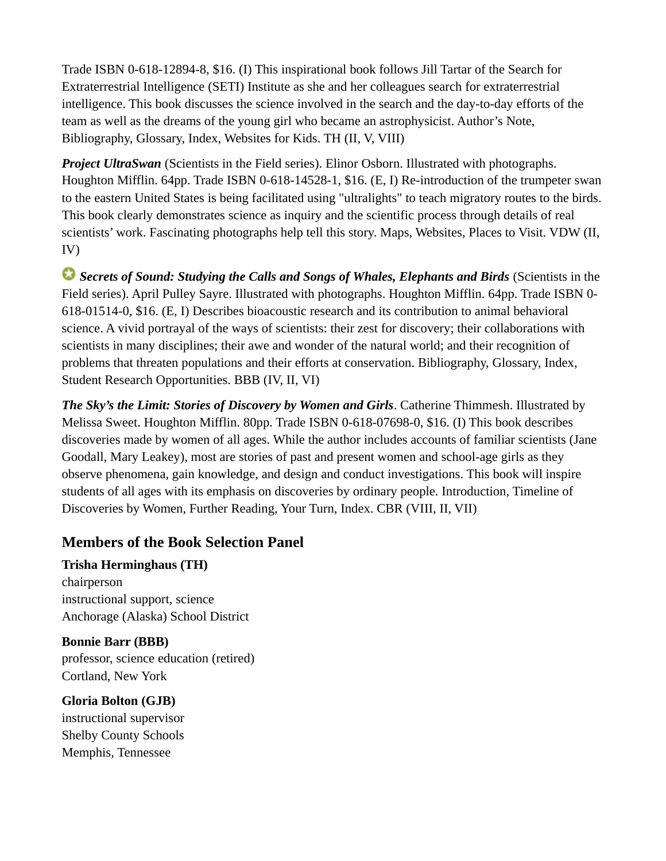Trade ISBN 0-618-12894-8, \$16. (I) This inspirational book follows Jill Tartar of the Search for Extraterrestrial Intelligence (SETI) Institute as she and her colleagues search for extraterrestrial intelligence. This book discusses the science involved in the search and the day-to-day efforts of the team as well as the dreams of the young girl who became an astrophysicist. Author's Note, Bibliography, Glossary, Index, Websites for Kids. TH (II, V, VIII)

*Project UltraSwan* (Scientists in the Field series). Elinor Osborn. Illustrated with photographs. Houghton Mifflin. 64pp. Trade ISBN 0-618-14528-1, \$16. (E, I) Re-introduction of the trumpeter swan to the eastern United States is being facilitated using "ultralights" to teach migratory routes to the birds. This book clearly demonstrates science as inquiry and the scientific process through details of real scientists' work. Fascinating photographs help tell this story. Maps, Websites, Places to Visit. VDW (II, IV)

*Secrets of Sound: Studying the Calls and Songs of Whales, Elephants and Birds* (Scientists in the Field series). April Pulley Sayre. Illustrated with photographs. Houghton Mifflin. 64pp. Trade ISBN 0- 618-01514-0, \$16. (E, I) Describes bioacoustic research and its contribution to animal behavioral science. A vivid portrayal of the ways of scientists: their zest for discovery; their collaborations with scientists in many disciplines; their awe and wonder of the natural world; and their recognition of problems that threaten populations and their efforts at conservation. Bibliography, Glossary, Index, Student Research Opportunities. BBB (IV, II, VI)

*The Sky's the Limit: Stories of Discovery by Women and Girls*. Catherine Thimmesh. Illustrated by Melissa Sweet. Houghton Mifflin. 80pp. Trade ISBN 0-618-07698-0, \$16. (I) This book describes discoveries made by women of all ages. While the author includes accounts of familiar scientists (Jane Goodall, Mary Leakey), most are stories of past and present women and school-age girls as they observe phenomena, gain knowledge, and design and conduct investigations. This book will inspire students of all ages with its emphasis on discoveries by ordinary people. Introduction, Timeline of Discoveries by Women, Further Reading, Your Turn, Index. CBR (VIII, II, VII)

### <span id="page-6-0"></span>**Members of the Book Selection Panel**

**Trisha Herminghaus (TH)** chairperson instructional support, science Anchorage (Alaska) School District

**Bonnie Barr (BBB)** professor, science education (retired) Cortland, New York

#### **Gloria Bolton (GJB)**

instructional supervisor Shelby County Schools Memphis, Tennessee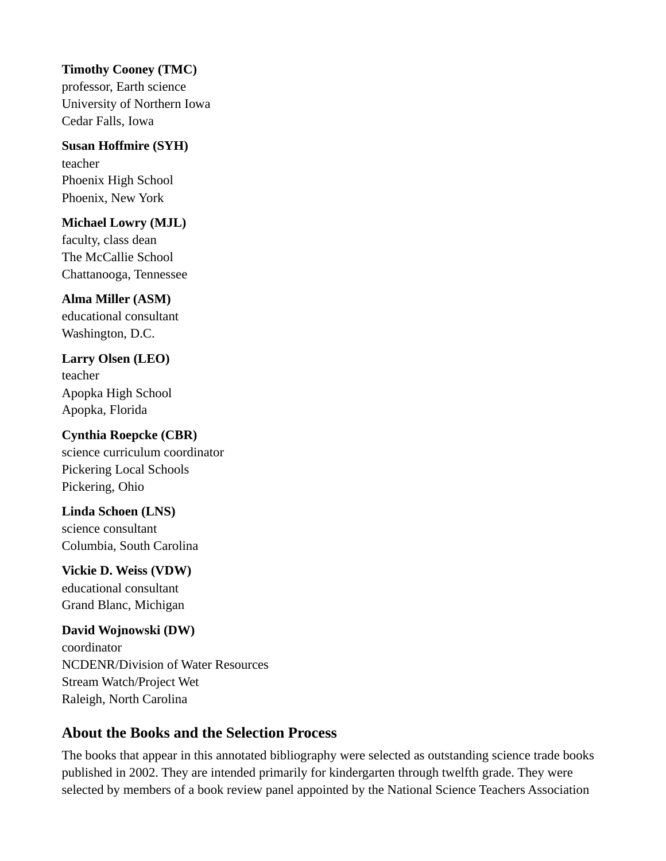#### **Timothy Cooney (TMC)**

professor, Earth science University of Northern Iowa Cedar Falls, Iowa

### **Susan Hoffmire (SYH)**

teacher Phoenix High School Phoenix, New York

#### **Michael Lowry (MJL)**

faculty, class dean The McCallie School Chattanooga, Tennessee

#### **Alma Miller (ASM)**

educational consultant Washington, D.C.

### **Larry Olsen (LEO)**

teacher Apopka High School Apopka, Florida

## **Cynthia Roepcke (CBR)**

science curriculum coordinator Pickering Local Schools Pickering, Ohio

## **Linda Schoen (LNS)**

science consultant Columbia, South Carolina

#### **Vickie D. Weiss (VDW)**

educational consultant Grand Blanc, Michigan

#### **David Wojnowski (DW)**

coordinator NCDENR/Division of Water Resources Stream Watch/Project Wet Raleigh, North Carolina

### <span id="page-7-0"></span>**About the Books and the Selection Process**

The books that appear in this annotated bibliography were selected as outstanding science trade books published in 2002. They are intended primarily for kindergarten through twelfth grade. They were selected by members of a book review panel appointed by the National Science Teachers Association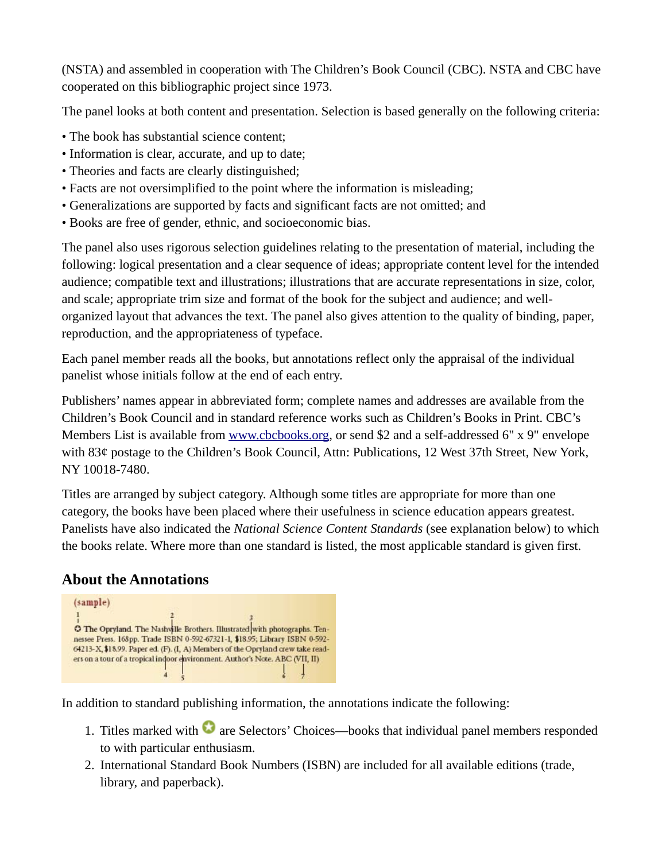(NSTA) and assembled in cooperation with The Children's Book Council (CBC). NSTA and CBC have cooperated on this bibliographic project since 1973.

The panel looks at both content and presentation. Selection is based generally on the following criteria:

- The book has substantial science content;
- Information is clear, accurate, and up to date;
- Theories and facts are clearly distinguished;
- Facts are not oversimplified to the point where the information is misleading;
- Generalizations are supported by facts and significant facts are not omitted; and
- Books are free of gender, ethnic, and socioeconomic bias.

The panel also uses rigorous selection guidelines relating to the presentation of material, including the following: logical presentation and a clear sequence of ideas; appropriate content level for the intended audience; compatible text and illustrations; illustrations that are accurate representations in size, color, and scale; appropriate trim size and format of the book for the subject and audience; and wellorganized layout that advances the text. The panel also gives attention to the quality of binding, paper, reproduction, and the appropriateness of typeface.

Each panel member reads all the books, but annotations reflect only the appraisal of the individual panelist whose initials follow at the end of each entry.

Publishers' names appear in abbreviated form; complete names and addresses are available from the Children's Book Council and in standard reference works such as Children's Books in Print. CBC's Members List is available from [www.cbcbooks.org,](http://www.cbcbooks.org/) or send \$2 and a self-addressed 6" x 9" envelope with 83¢ postage to the Children's Book Council, Attn: Publications, 12 West 37th Street, New York, NY 10018-7480.

Titles are arranged by subject category. Although some titles are appropriate for more than one category, the books have been placed where their usefulness in science education appears greatest. Panelists have also indicated the *National Science Content Standards* (see explanation below) to which the books relate. Where more than one standard is listed, the most applicable standard is given first.

### <span id="page-8-0"></span>**About the Annotations**



In addition to standard publishing information, the annotations indicate the following:

- 1. Titles marked with  $\bullet$  are Selectors' Choices—books that individual panel members responded to with particular enthusiasm.
- 2. International Standard Book Numbers (ISBN) are included for all available editions (trade, library, and paperback).